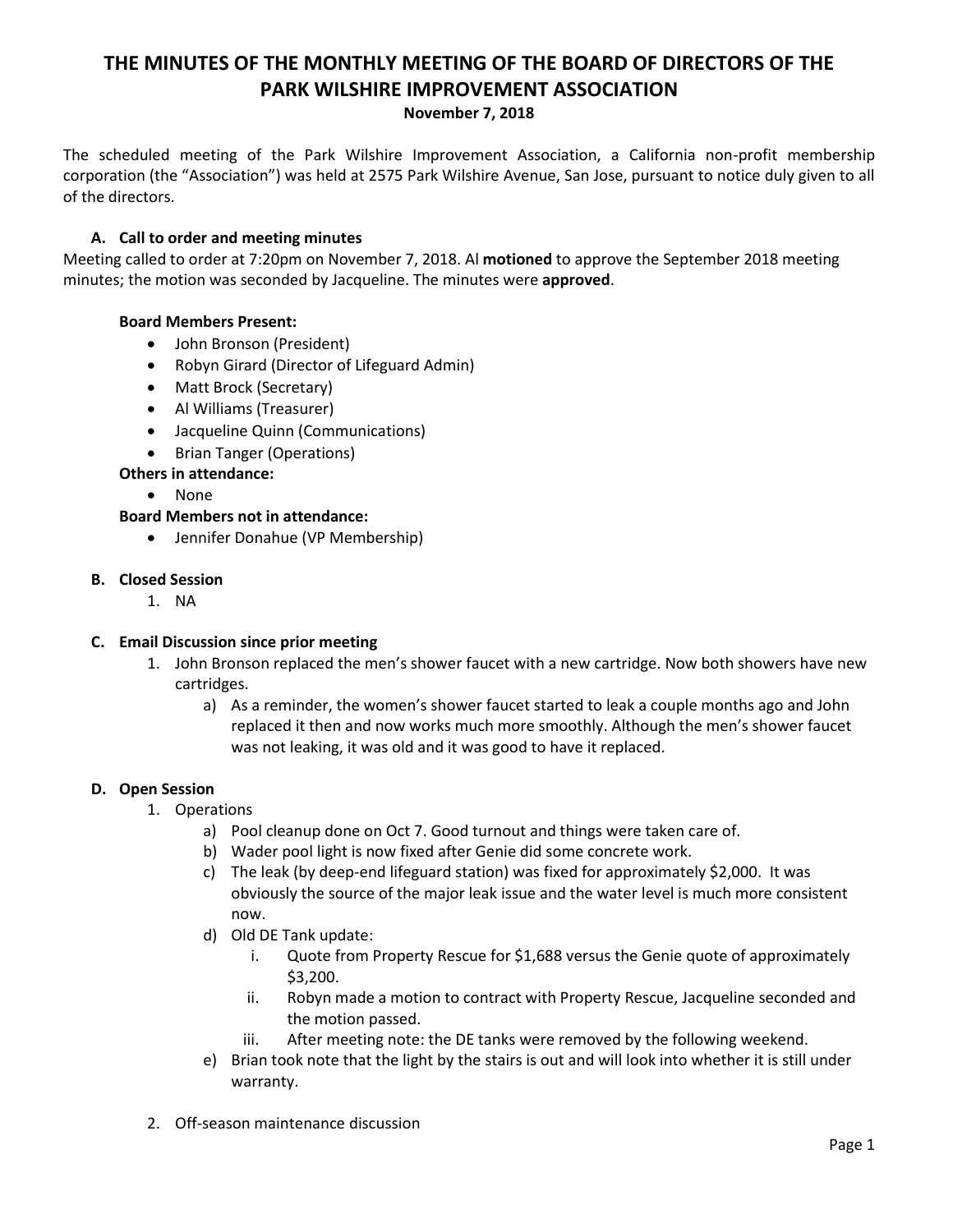# **THE MINUTES OF THE MONTHLY MEETING OF THE BOARD OF DIRECTORS OF THE PARK WILSHIRE IMPROVEMENT ASSOCIATION**

### **November 7, 2018**

The scheduled meeting of the Park Wilshire Improvement Association, a California non-profit membership corporation (the "Association") was held at 2575 Park Wilshire Avenue, San Jose, pursuant to notice duly given to all of the directors.

## **A. Call to order and meeting minutes**

Meeting called to order at 7:20pm on November 7, 2018. Al **motioned** to approve the September 2018 meeting minutes; the motion was seconded by Jacqueline. The minutes were **approved**.

## **Board Members Present:**

- John Bronson (President)
- Robyn Girard (Director of Lifeguard Admin)
- Matt Brock (Secretary)
- Al Williams (Treasurer)
- Jacqueline Quinn (Communications)
- Brian Tanger (Operations)

## **Others in attendance:**

None

### **Board Members not in attendance:**

Jennifer Donahue (VP Membership)

#### **B. Closed Session**

1. NA

### **C. Email Discussion since prior meeting**

- 1. John Bronson replaced the men's shower faucet with a new cartridge. Now both showers have new cartridges.
	- a) As a reminder, the women's shower faucet started to leak a couple months ago and John replaced it then and now works much more smoothly. Although the men's shower faucet was not leaking, it was old and it was good to have it replaced.

### **D. Open Session**

- 1. Operations
	- a) Pool cleanup done on Oct 7. Good turnout and things were taken care of.
	- b) Wader pool light is now fixed after Genie did some concrete work.
	- c) The leak (by deep-end lifeguard station) was fixed for approximately \$2,000. It was obviously the source of the major leak issue and the water level is much more consistent now.
	- d) Old DE Tank update:
		- i. Quote from Property Rescue for \$1,688 versus the Genie quote of approximately \$3,200.
		- ii. Robyn made a motion to contract with Property Rescue, Jacqueline seconded and the motion passed.
		- iii. After meeting note: the DE tanks were removed by the following weekend.
	- e) Brian took note that the light by the stairs is out and will look into whether it is still under warranty.
- 2. Off-season maintenance discussion